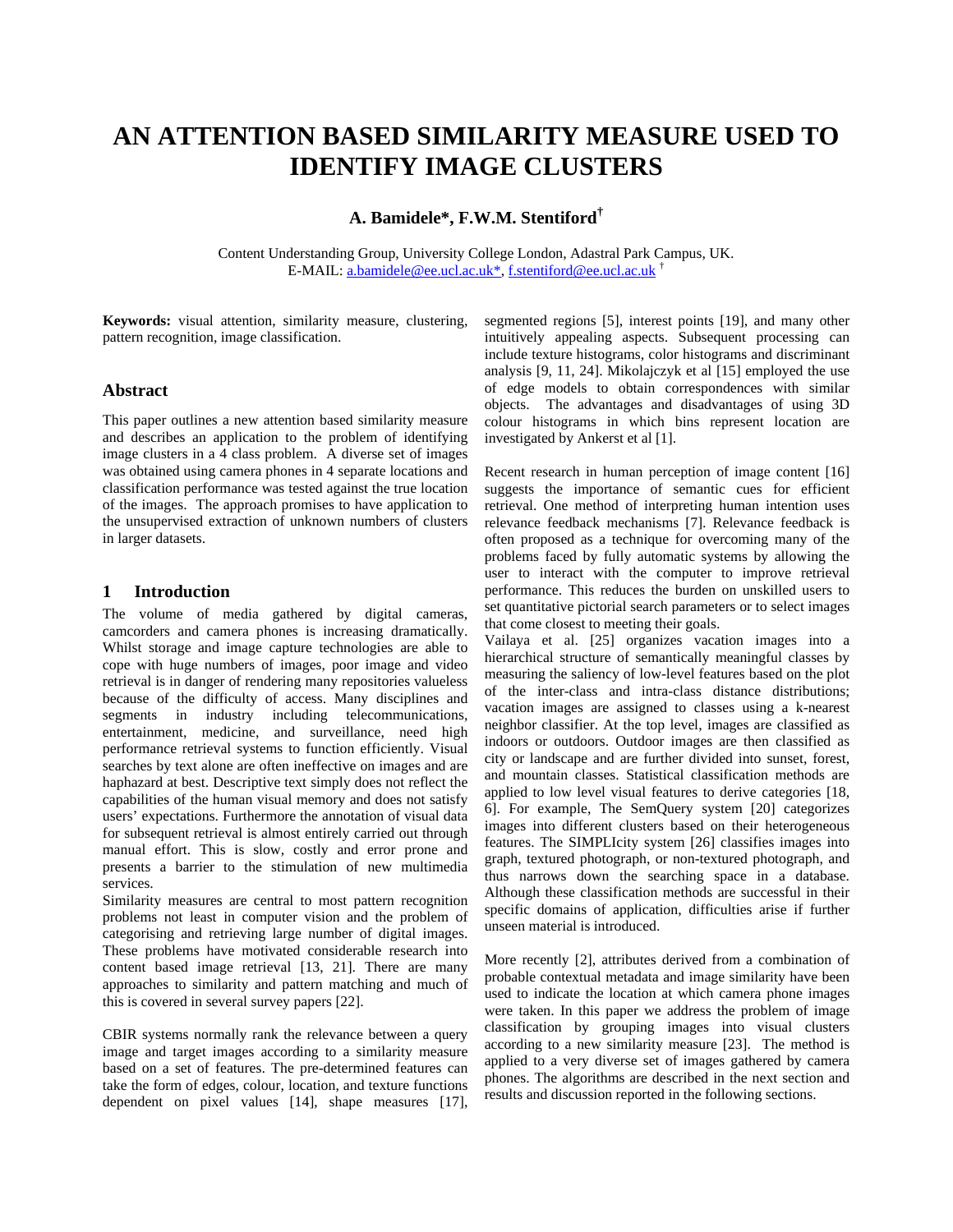# **AN ATTENTION BASED SIMILARITY MEASURE USED TO IDENTIFY IMAGE CLUSTERS**

**A. Bamidele\*, F.W.M. Stentiford†**

Content Understanding Group, University College London, Adastral Park Campus, UK. E-MAIL: a.bamidele@ee.ucl.ac.uk\*, f.stentiford@ee.ucl.ac.uk †

**Keywords:** visual attention, similarity measure, clustering, pattern recognition, image classification.

#### **Abstract**

This paper outlines a new attention based similarity measure and describes an application to the problem of identifying image clusters in a 4 class problem. A diverse set of images was obtained using camera phones in 4 separate locations and classification performance was tested against the true location of the images. The approach promises to have application to the unsupervised extraction of unknown numbers of clusters in larger datasets.

## **1 Introduction**

The volume of media gathered by digital cameras, camcorders and camera phones is increasing dramatically. Whilst storage and image capture technologies are able to cope with huge numbers of images, poor image and video retrieval is in danger of rendering many repositories valueless because of the difficulty of access. Many disciplines and segments in industry including telecommunications, entertainment, medicine, and surveillance, need high performance retrieval systems to function efficiently. Visual searches by text alone are often ineffective on images and are haphazard at best. Descriptive text simply does not reflect the capabilities of the human visual memory and does not satisfy users' expectations. Furthermore the annotation of visual data for subsequent retrieval is almost entirely carried out through manual effort. This is slow, costly and error prone and presents a barrier to the stimulation of new multimedia services.

Similarity measures are central to most pattern recognition problems not least in computer vision and the problem of categorising and retrieving large number of digital images. These problems have motivated considerable research into content based image retrieval [13, 21]. There are many approaches to similarity and pattern matching and much of this is covered in several survey papers [22].

CBIR systems normally rank the relevance between a query image and target images according to a similarity measure based on a set of features. The pre-determined features can take the form of edges, colour, location, and texture functions dependent on pixel values [14], shape measures [17], segmented regions [5], interest points [19], and many other intuitively appealing aspects. Subsequent processing can include texture histograms, color histograms and discriminant analysis [9, 11, 24]. Mikolajczyk et al [15] employed the use of edge models to obtain correspondences with similar objects. The advantages and disadvantages of using 3D colour histograms in which bins represent location are investigated by Ankerst et al [1].

Recent research in human perception of image content [16] suggests the importance of semantic cues for efficient retrieval. One method of interpreting human intention uses relevance feedback mechanisms [7]. Relevance feedback is often proposed as a technique for overcoming many of the problems faced by fully automatic systems by allowing the user to interact with the computer to improve retrieval performance. This reduces the burden on unskilled users to set quantitative pictorial search parameters or to select images that come closest to meeting their goals.

Vailaya et al. [25] organizes vacation images into a hierarchical structure of semantically meaningful classes by measuring the saliency of low-level features based on the plot of the inter-class and intra-class distance distributions; vacation images are assigned to classes using a k-nearest neighbor classifier. At the top level, images are classified as indoors or outdoors. Outdoor images are then classified as city or landscape and are further divided into sunset, forest, and mountain classes. Statistical classification methods are applied to low level visual features to derive categories [18, 6]. For example, The SemQuery system [20] categorizes images into different clusters based on their heterogeneous features. The SIMPLIcity system [26] classifies images into graph, textured photograph, or non-textured photograph, and thus narrows down the searching space in a database. Although these classification methods are successful in their specific domains of application, difficulties arise if further unseen material is introduced.

More recently [2], attributes derived from a combination of probable contextual metadata and image similarity have been used to indicate the location at which camera phone images were taken. In this paper we address the problem of image classification by grouping images into visual clusters according to a new similarity measure [23]. The method is applied to a very diverse set of images gathered by camera phones. The algorithms are described in the next section and results and discussion reported in the following sections.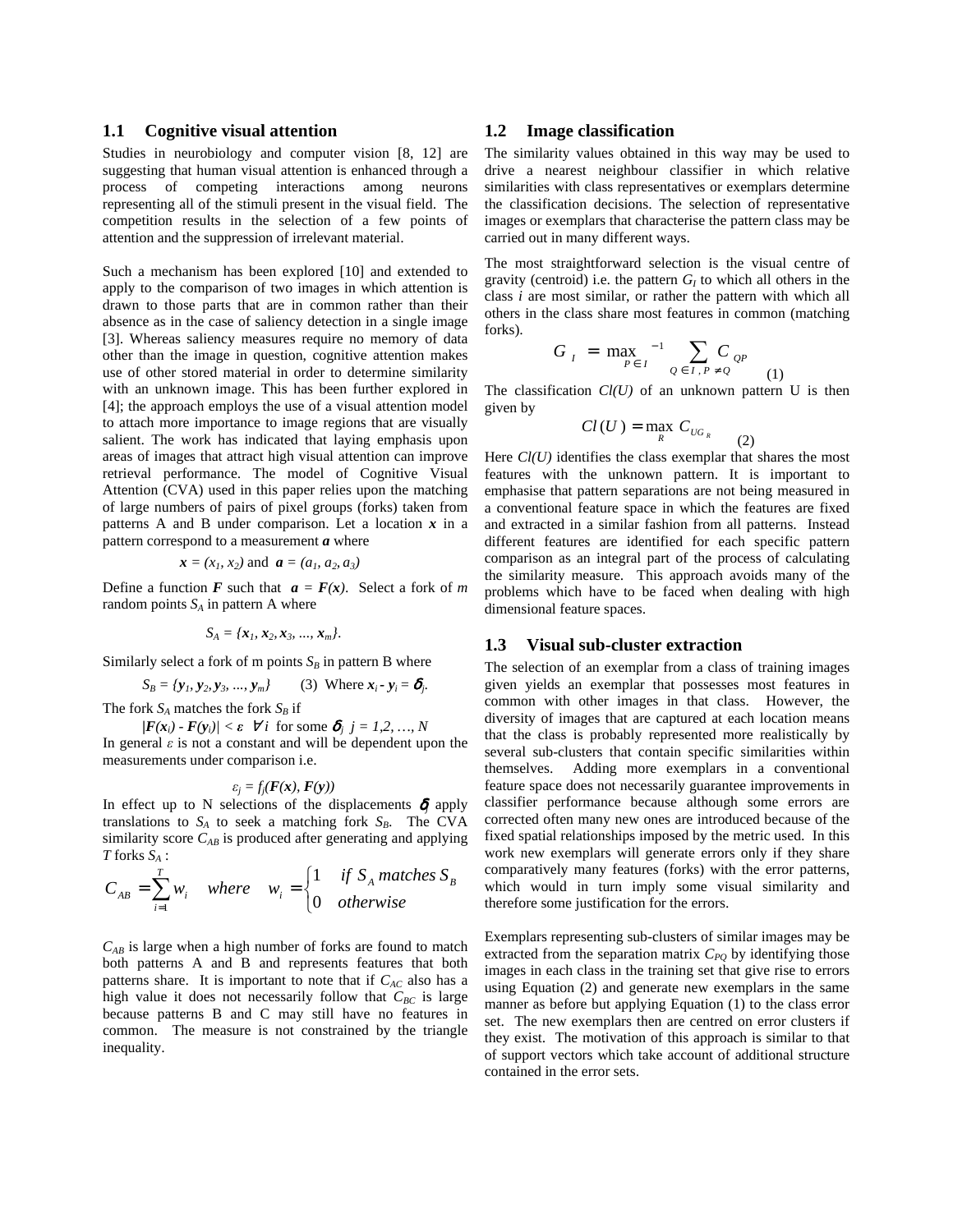#### **1.1 Cognitive visual attention**

Studies in neurobiology and computer vision [8, 12] are suggesting that human visual attention is enhanced through a process of competing interactions among neurons representing all of the stimuli present in the visual field. The competition results in the selection of a few points of attention and the suppression of irrelevant material.

Such a mechanism has been explored [10] and extended to apply to the comparison of two images in which attention is drawn to those parts that are in common rather than their absence as in the case of saliency detection in a single image [3]. Whereas saliency measures require no memory of data other than the image in question, cognitive attention makes use of other stored material in order to determine similarity with an unknown image. This has been further explored in [4]; the approach employs the use of a visual attention model to attach more importance to image regions that are visually salient. The work has indicated that laying emphasis upon areas of images that attract high visual attention can improve retrieval performance. The model of Cognitive Visual Attention (CVA) used in this paper relies upon the matching of large numbers of pairs of pixel groups (forks) taken from patterns A and B under comparison. Let a location *x* in a pattern correspond to a measurement *a* where

$$
x = (x_1, x_2)
$$
 and  $a = (a_1, a_2, a_3)$ 

Define a function *F* such that  $a = F(x)$ . Select a fork of *m* random points  $S_A$  in pattern A where

$$
S_A = \{x_1, x_2, x_3, ..., x_m\}.
$$

Similarly select a fork of m points  $S_B$  in pattern B where

$$
S_B = {\mathbf{y}_1, \mathbf{y}_2, \mathbf{y}_3, ..., \mathbf{y}_m} \quad (3) \text{ Where } \mathbf{x}_i - \mathbf{y}_i = \delta_j.
$$

The fork  $S_A$  matches the fork  $S_B$  if

 $\langle \mathbf{F}(\mathbf{x}_i) \cdot \mathbf{F}(\mathbf{y}_i) \rangle < \varepsilon$   $\forall i$  for some  $\delta_j$   $j = 1, 2, ..., N$ In general  $\varepsilon$  is not a constant and will be dependent upon the measurements under comparison i.e.

$$
\varepsilon_j = f_j(\boldsymbol{F}(\boldsymbol{x}),\,\boldsymbol{F}(\boldsymbol{y}))
$$

In effect up to N selections of the displacements  $\delta_j$  apply translations to  $S_A$  to seek a matching fork  $S_B$ . The CVA similarity score  $C_{AB}$  is produced after generating and applying *T* forks *SA* :

$$
C_{AB} = \sum_{i=1}^{T} w_i \quad where \quad w_i = \begin{cases} 1 & \text{if } S_A \text{ matches } S_B \\ 0 & \text{otherwise} \end{cases}
$$

*CAB* is large when a high number of forks are found to match both patterns A and B and represents features that both patterns share. It is important to note that if  $C_{AC}$  also has a high value it does not necessarily follow that  $C_{BC}$  is large because patterns B and C may still have no features in common. The measure is not constrained by the triangle inequality.

#### **1.2 Image classification**

The similarity values obtained in this way may be used to drive a nearest neighbour classifier in which relative similarities with class representatives or exemplars determine the classification decisions. The selection of representative images or exemplars that characterise the pattern class may be carried out in many different ways.

The most straightforward selection is the visual centre of gravity (centroid) i.e. the pattern  $G_I$  to which all others in the class *i* are most similar, or rather the pattern with which all others in the class share most features in common (matching forks).

$$
G_{I} = \max_{P \in I} \frac{1}{\rho \epsilon I} \sum_{Q \in I, P \neq Q} C_{QP} \tag{1}
$$

The classification  $Cl(U)$  of an unknown pattern U is then given by

$$
Cl(U) = \max_{R} C_{UG_R}
$$

(2)

Here *Cl(U)* identifies the class exemplar that shares the most features with the unknown pattern. It is important to emphasise that pattern separations are not being measured in a conventional feature space in which the features are fixed and extracted in a similar fashion from all patterns. Instead different features are identified for each specific pattern comparison as an integral part of the process of calculating the similarity measure. This approach avoids many of the problems which have to be faced when dealing with high dimensional feature spaces.

#### **1.3 Visual sub-cluster extraction**

The selection of an exemplar from a class of training images given yields an exemplar that possesses most features in common with other images in that class. However, the diversity of images that are captured at each location means that the class is probably represented more realistically by several sub-clusters that contain specific similarities within themselves. Adding more exemplars in a conventional feature space does not necessarily guarantee improvements in classifier performance because although some errors are corrected often many new ones are introduced because of the fixed spatial relationships imposed by the metric used. In this work new exemplars will generate errors only if they share comparatively many features (forks) with the error patterns, which would in turn imply some visual similarity and therefore some justification for the errors.

Exemplars representing sub-clusters of similar images may be extracted from the separation matrix  $C_{PQ}$  by identifying those images in each class in the training set that give rise to errors using Equation (2) and generate new exemplars in the same manner as before but applying Equation (1) to the class error set. The new exemplars then are centred on error clusters if they exist. The motivation of this approach is similar to that of support vectors which take account of additional structure contained in the error sets.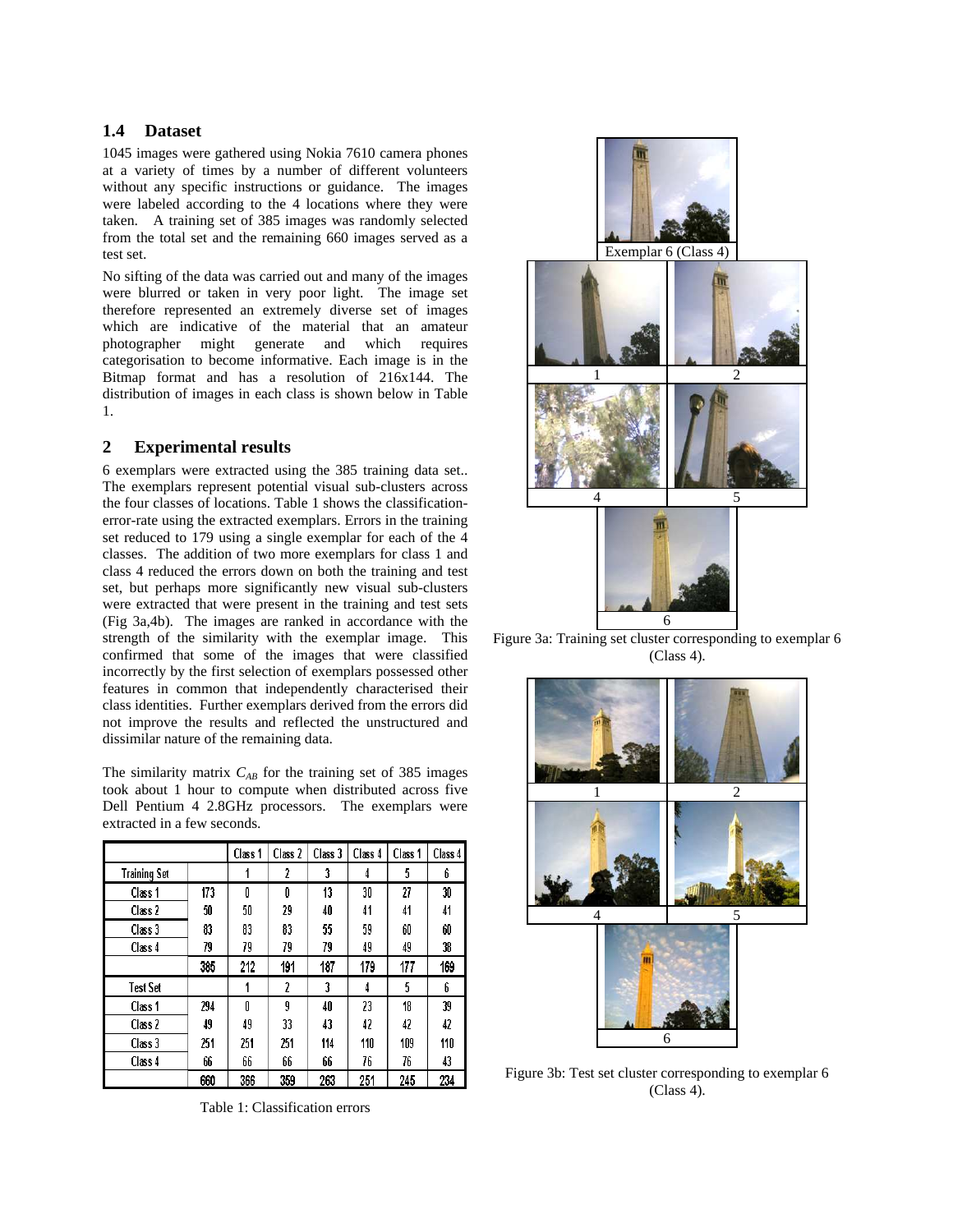### **1.4 Dataset**

1045 images were gathered using Nokia 7610 camera phones at a variety of times by a number of different volunteers without any specific instructions or guidance. The images were labeled according to the 4 locations where they were taken. A training set of 385 images was randomly selected from the total set and the remaining 660 images served as a test set.

No sifting of the data was carried out and many of the images were blurred or taken in very poor light. The image set therefore represented an extremely diverse set of images which are indicative of the material that an amateur photographer might generate and which requires categorisation to become informative. Each image is in the Bitmap format and has a resolution of 216x144. The distribution of images in each class is shown below in Table 1.

## **2 Experimental results**

6 exemplars were extracted using the 385 training data set.. The exemplars represent potential visual sub-clusters across the four classes of locations. Table 1 shows the classificationerror-rate using the extracted exemplars. Errors in the training set reduced to 179 using a single exemplar for each of the 4 classes. The addition of two more exemplars for class 1 and class 4 reduced the errors down on both the training and test set, but perhaps more significantly new visual sub-clusters were extracted that were present in the training and test sets (Fig 3a,4b). The images are ranked in accordance with the strength of the similarity with the exemplar image. This confirmed that some of the images that were classified incorrectly by the first selection of exemplars possessed other features in common that independently characterised their class identities. Further exemplars derived from the errors did not improve the results and reflected the unstructured and dissimilar nature of the remaining data.

The similarity matrix *CAB* for the training set of 385 images took about 1 hour to compute when distributed across five Dell Pentium 4 2.8GHz processors. The exemplars were extracted in a few seconds.

|                    |     | Class 1 | Class 2 | Class 3 | Class 4 | Class 1 | Class 4 |
|--------------------|-----|---------|---------|---------|---------|---------|---------|
| Training Set       |     |         | 2       | 3       | 4       | 5       | 6       |
| Class <sub>1</sub> | 173 | O       | O       | 13      | 30      | 27      | 30      |
| Class 2            | 50  | 50      | 29      | 40      | 41      | 41      | 41      |
| Class 3            | 83  | 83      | 83      | 55      | 59      | 60      | 60      |
| Class 4            | 79  | 79      | 79      | 79      | 49      | 49      | 38      |
|                    | 385 | 212     | 191     | 187     | 179     | 177     | 169     |
| Test Set           |     |         | 2       | 3       | 4       | 5       | 6       |
| Class 1            | 294 | Ñ       | 9       | 40      | 23      | 18      | 39      |
| Class 2            | 49  | 49      | 33      | 43      | 42      | 42      | 42      |
| Class 3            | 251 | 251     | 251     | 114     | 110     | 109     | 110     |
| Class 4            | 66  | 66      | 66      | 66      | 76      | 76      | 43      |
|                    | 660 | 366     | 359     | 263     | 251     | 245     | 234     |

Table 1: Classification errors



Figure 3a: Training set cluster corresponding to exemplar 6 (Class 4).



Figure 3b: Test set cluster corresponding to exemplar 6 (Class 4).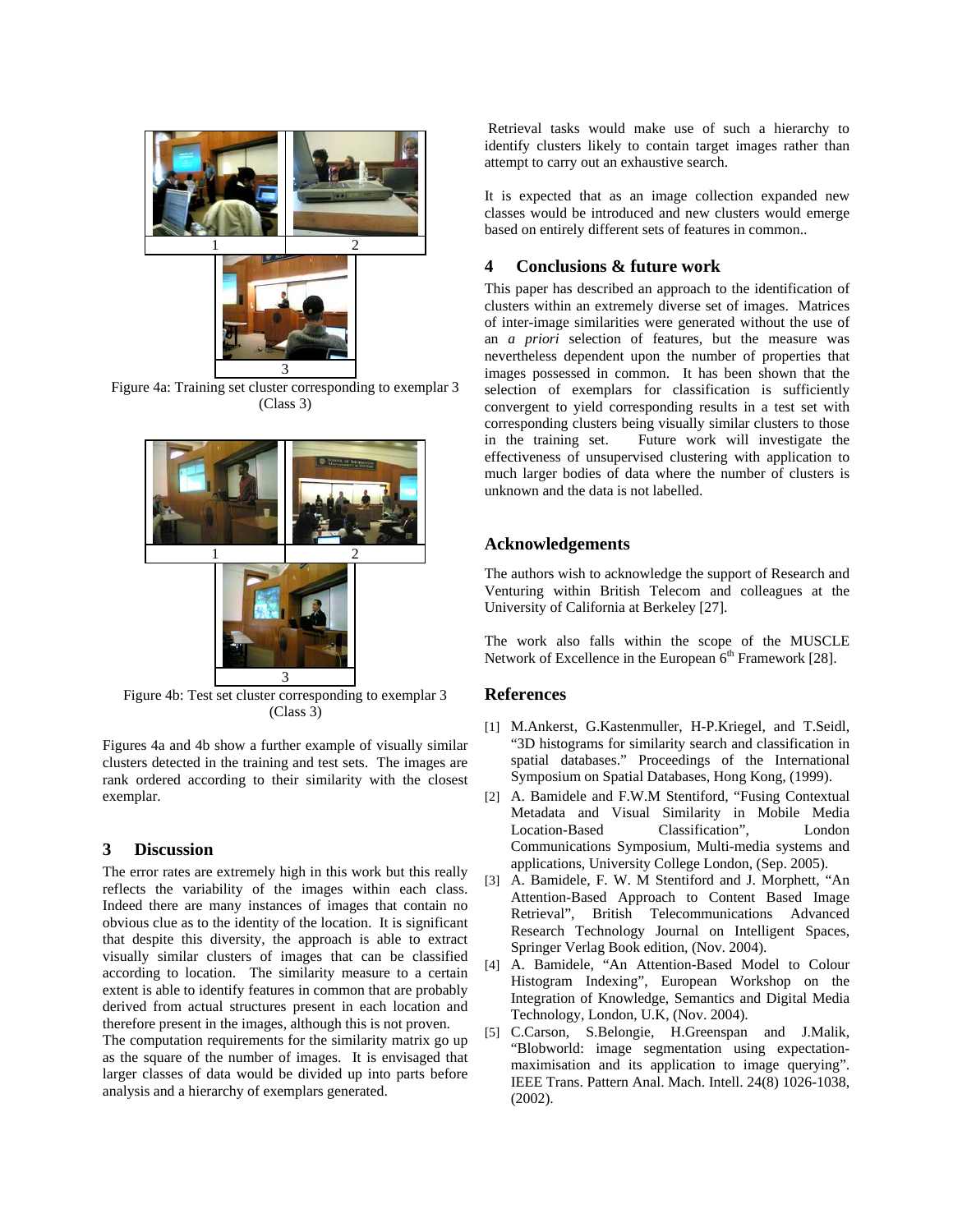

Figure 4a: Training set cluster corresponding to exemplar 3 (Class 3)



Figure 4b: Test set cluster corresponding to exemplar 3 (Class 3)

Figures 4a and 4b show a further example of visually similar clusters detected in the training and test sets. The images are rank ordered according to their similarity with the closest exemplar.

#### **3 Discussion**

The error rates are extremely high in this work but this really reflects the variability of the images within each class. Indeed there are many instances of images that contain no obvious clue as to the identity of the location. It is significant that despite this diversity, the approach is able to extract visually similar clusters of images that can be classified according to location. The similarity measure to a certain extent is able to identify features in common that are probably derived from actual structures present in each location and therefore present in the images, although this is not proven.

The computation requirements for the similarity matrix go up as the square of the number of images. It is envisaged that larger classes of data would be divided up into parts before analysis and a hierarchy of exemplars generated.

 Retrieval tasks would make use of such a hierarchy to identify clusters likely to contain target images rather than attempt to carry out an exhaustive search.

It is expected that as an image collection expanded new classes would be introduced and new clusters would emerge based on entirely different sets of features in common..

## **4 Conclusions & future work**

This paper has described an approach to the identification of clusters within an extremely diverse set of images. Matrices of inter-image similarities were generated without the use of an *a priori* selection of features, but the measure was nevertheless dependent upon the number of properties that images possessed in common. It has been shown that the selection of exemplars for classification is sufficiently convergent to yield corresponding results in a test set with corresponding clusters being visually similar clusters to those in the training set. Future work will investigate the effectiveness of unsupervised clustering with application to much larger bodies of data where the number of clusters is unknown and the data is not labelled.

## **Acknowledgements**

The authors wish to acknowledge the support of Research and Venturing within British Telecom and colleagues at the University of California at Berkeley [27].

The work also falls within the scope of the MUSCLE Network of Excellence in the European  $6<sup>th</sup>$  Framework [28].

## **References**

- [1] M.Ankerst, G.Kastenmuller, H-P.Kriegel, and T.Seidl, "3D histograms for similarity search and classification in spatial databases." Proceedings of the International Symposium on Spatial Databases, Hong Kong, (1999).
- [2] A. Bamidele and F.W.M Stentiford, "Fusing Contextual Metadata and Visual Similarity in Mobile Media Classification", London Communications Symposium, Multi-media systems and applications, University College London, (Sep. 2005).
- [3] A. Bamidele, F. W. M Stentiford and J. Morphett, "An Attention-Based Approach to Content Based Image Retrieval", British Telecommunications Advanced Research Technology Journal on Intelligent Spaces, Springer Verlag Book edition, (Nov. 2004).
- [4] A. Bamidele, "An Attention-Based Model to Colour Histogram Indexing", European Workshop on the Integration of Knowledge, Semantics and Digital Media Technology, London, U.K, (Nov. 2004).
- [5] C.Carson, S.Belongie, H.Greenspan and J.Malik, "Blobworld: image segmentation using expectationmaximisation and its application to image querying". IEEE Trans. Pattern Anal. Mach. Intell. 24(8) 1026-1038,  $(2002)$ .